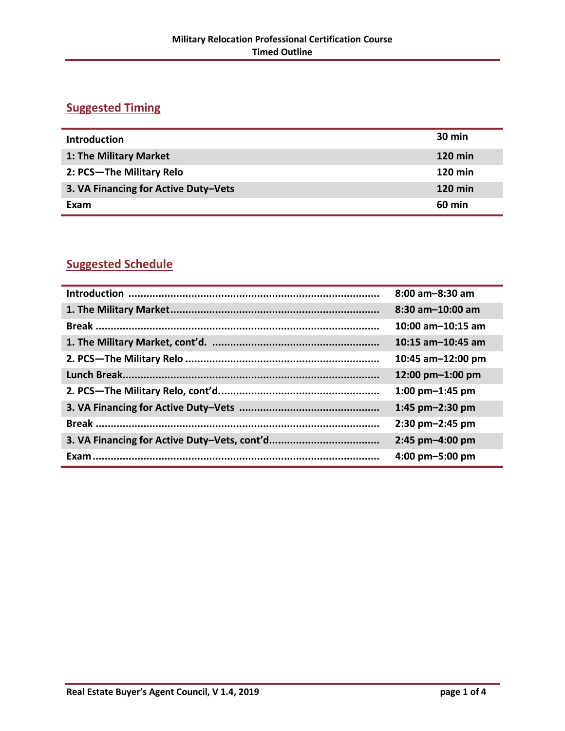## **Suggested Timing**

| <b>Introduction</b>                  | $30 \text{ min}$ |
|--------------------------------------|------------------|
| 1: The Military Market               | <b>120 min</b>   |
| 2: PCS-The Military Relo             | <b>120 min</b>   |
| 3. VA Financing for Active Duty-Vets | <b>120 min</b>   |
| Exam                                 | <b>60 min</b>    |

## **Suggested Schedule**

| $8:00$ am $-8:30$ am  |
|-----------------------|
| $8:30$ am $-10:00$ am |
| $10:00$ am-10:15 am   |
| $10:15$ am-10:45 am   |
| 10:45 am-12:00 pm     |
| 12:00 pm-1:00 pm      |
| 1:00 $pm-1:45$ pm     |
| 1:45 $pm-2:30$ pm     |
| 2:30 pm-2:45 pm       |
| 2:45 pm-4:00 pm       |
| 4:00 pm-5:00 pm       |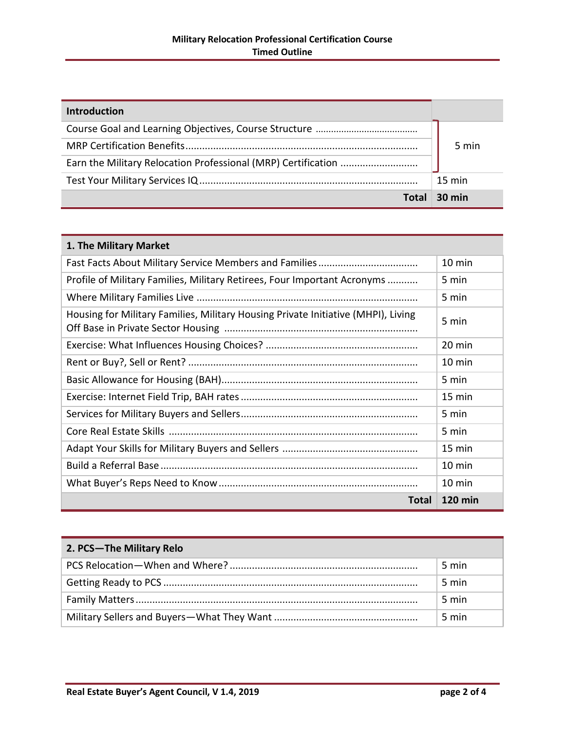| <b>Introduction</b> |                  |
|---------------------|------------------|
|                     |                  |
|                     | 5 min            |
|                     |                  |
|                     | $15 \text{ min}$ |
| Total               | $30 \text{ min}$ |

| 1. The Military Market                                                            |                  |
|-----------------------------------------------------------------------------------|------------------|
|                                                                                   | 10 min           |
| Profile of Military Families, Military Retirees, Four Important Acronyms          | 5 min            |
|                                                                                   | 5 min            |
| Housing for Military Families, Military Housing Private Initiative (MHPI), Living | 5 min            |
|                                                                                   | 20 min           |
|                                                                                   | $10 \text{ min}$ |
|                                                                                   | 5 min            |
|                                                                                   | $15 \text{ min}$ |
|                                                                                   | 5 min            |
|                                                                                   | 5 min            |
|                                                                                   | 15 min           |
|                                                                                   | 10 min           |
|                                                                                   | 10 min           |
| Total                                                                             | <b>120 min</b>   |

| 2. PCS-The Military Relo |       |
|--------------------------|-------|
|                          | 5 min |
|                          | 5 min |
|                          | 5 min |
|                          | 5 min |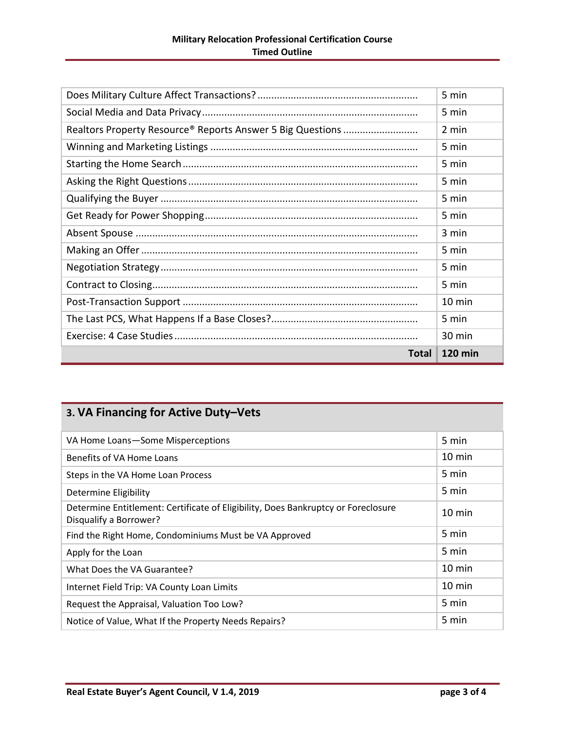|                                                            | 5 min          |
|------------------------------------------------------------|----------------|
|                                                            | 5 min          |
| Realtors Property Resource® Reports Answer 5 Big Questions | 2 min          |
|                                                            | 5 min          |
|                                                            | 5 min          |
|                                                            | 5 min          |
|                                                            | 5 min          |
|                                                            | 5 min          |
|                                                            | 3 min          |
|                                                            | 5 min          |
|                                                            | 5 min          |
|                                                            | 5 min          |
|                                                            | 10 min         |
|                                                            | 5 min          |
|                                                            | 30 min         |
| <b>Total</b>                                               | <b>120 min</b> |

## **3. VA Financing for Active Duty–Vets**

| VA Home Loans-Some Misperceptions                                                                           | 5 min            |
|-------------------------------------------------------------------------------------------------------------|------------------|
| Benefits of VA Home Loans                                                                                   | $10 \text{ min}$ |
| Steps in the VA Home Loan Process                                                                           | 5 min            |
| Determine Eligibility                                                                                       | 5 min            |
| Determine Entitlement: Certificate of Eligibility, Does Bankruptcy or Foreclosure<br>Disqualify a Borrower? | 10 min           |
| Find the Right Home, Condominiums Must be VA Approved                                                       | 5 min            |
| Apply for the Loan                                                                                          | 5 min            |
| What Does the VA Guarantee?                                                                                 | 10 min           |
| Internet Field Trip: VA County Loan Limits                                                                  | 10 min           |
| Request the Appraisal, Valuation Too Low?                                                                   | 5 min            |
| Notice of Value, What If the Property Needs Repairs?                                                        | 5 min            |